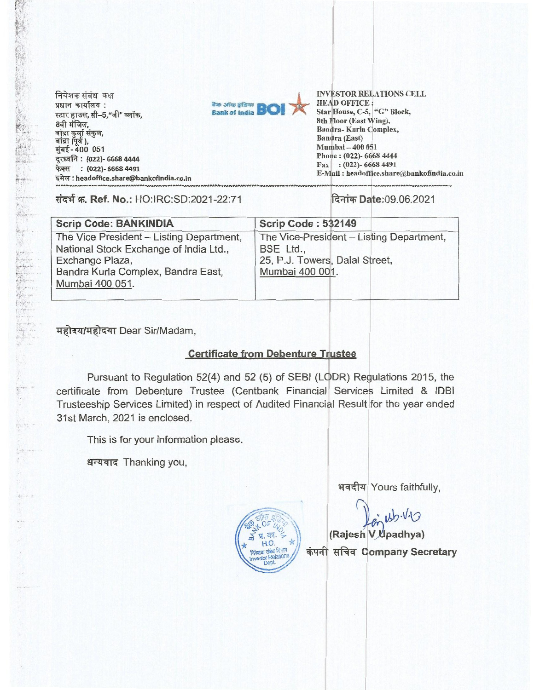**निवेशक संबंध कक्ष** Tam*.4411,144 : 4-di(*  8th, बांद्रा कुर्ला संकुल*,*<br>बांद्रा (पूर्व ),<br>मुंबई - 400 051 दूरध्वनि: (022)- 6668 4444 **फेक्स : (022)- 6668 4491** : **headoffice.share@bankofindia.co.in** 



**INVESTOR RELATIONS CELL HEAD OFFICE : Star House, C-5, "G" Block, 8th Floor (East Wing), Bandra- Kurla Complex, Bandra (East) Mumbai — 400 051 Phone : (022)- 6668 4444 Fax : (022)- 6668 4491 E-Mail : headoffice.share@bankofindia.co.in** 

**tiq W. Ref. No.: HO:IRC:SD:2021-22:71 lit Date:09.06.2021** 

| <b>Scrip Code: BANKINDIA</b>             | Scrip Code: 532149                       |
|------------------------------------------|------------------------------------------|
| The Vice President - Listing Department, | The Vice-President - Listing Department, |
| National Stock Exchange of India Ltd.,   | BSE Ltd.,                                |
| Exchange Plaza,                          | 25, P.J. Towers, Dalal Street,           |
| Bandra Kurla Complex, Bandra East,       | Mumbai 400 001.                          |
| Mumbai 400 051.                          |                                          |
|                                          |                                          |

महोदय/महोदया Dear Sir/Madam,

# **Certificate from Debenture Trustee**

**Pursuant to** Regulation 52(4) and 52 (5) of SEBI (LODR) Regulations 2015, the certificate **from Debenture Trustee (Centbank** Financial Services Limited & IDBI **Trusteeship** Services Limited) in respect of Audited Financial Result for the year ended 31st March, 2021 is enclosed.

This is for your information please.

**N.-44414 Thanking you,** 



भवदीय Yours faithfully,

 $i\omega$ 

**(Rajesh V padhya) \*irAi Company Secretary**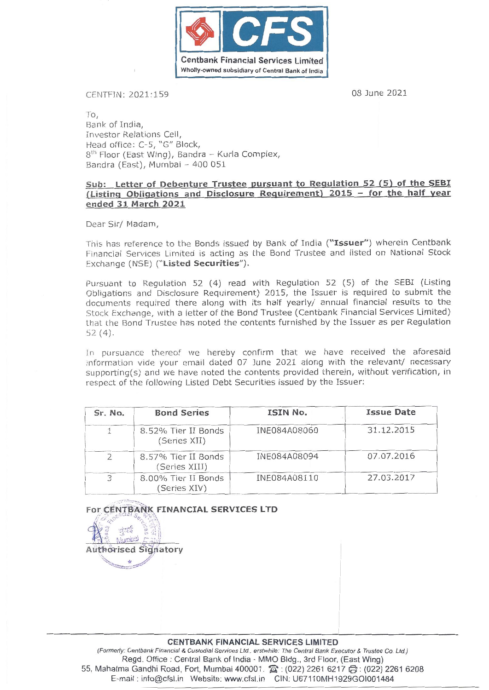

### CENTFIN: 2021:159 08 June 2021

To, Bank of India, Investor Relations Cell, Head office: C-5, "G" Block,  $8<sup>th</sup>$  Floor (East Wing), Bandra - Kurla Complex, Bandra (East), Mumbai - 400 051

### **Sub: Letter of Debenture Trustee pursuant to Regulation 52 (5) of the SEBI (Listing Obligations and Disclosure Requirement) 2015 - for the half year ended 31 March 2021**

Dear Sir/ Madam,

This has reference to the Bonds issued by Bank of India **("Issuer")** wherein Centbank Financial Services Limited is acting as the Bond Trustee and listed on National Stock Exchange (NSE) **("Listed Securities").** 

Pursuant to Regulation 52 (4) read with Regulation 52 (5) of the SEBI (Listing Obligations and Disclosure Requirement) 2015, the Issuer is required to submit the documents required there along with its half yearly/ annual financial results to the Stock Exchange, with a letter of the Bond Trustee (Centbank Financial Services Limited) that the Bond Trustee has noted the contents furnished by the Issuer as per Regulation 52 (4).

In pursuance thereof we hereby confirm that we have received the aforesaid information vide your email dated 07 June 2021 along with the relevant/ necessary supporting(s) and we have noted the contents provided therein, without verification, in respect of the following Listed Debt Securities issued by the Issuer:

| Sr. No. | <b>Bond Series</b>                   | ISIN No.     | <b>Issue Date</b> |
|---------|--------------------------------------|--------------|-------------------|
|         | 8.52% Tier II Bonds<br>(Series XII)  | INE084A08060 | 31.12.2015        |
| 2       | 8.57% Tier II Bonds<br>(Series XIII) | INE084A08094 | 07.07.2016        |
| 3       | 8.00% Tier II Bonds<br>(Series XIV)  | INE084A08110 | 27.03.2017        |

**For CENTBANK FINANCIAL SERVICES LTD XK FINA<br>Ezimator**<br>Sidnator

**Auth&ised Signatory** 

#### **CENTBANK FINANCIAL SERVICES LIMITED**

(Formerly: Centbank Financial & Custodial Services Ltd., erstwhile: The Central Bank Executor & Trustee **Co.** Ltd.) Regd. Office : Central Bank of India - MMO Bldg., 3rd Floor, (East Wing) 55, Mahatma Gandhi Road, Fort, Mumbai 400001. **3**: (022) 2261 6217 (3: (022) 2261 6208 E-mail : info@cfsl,in Website: www.cfsl.in CIN: U67110MH1929G01001484